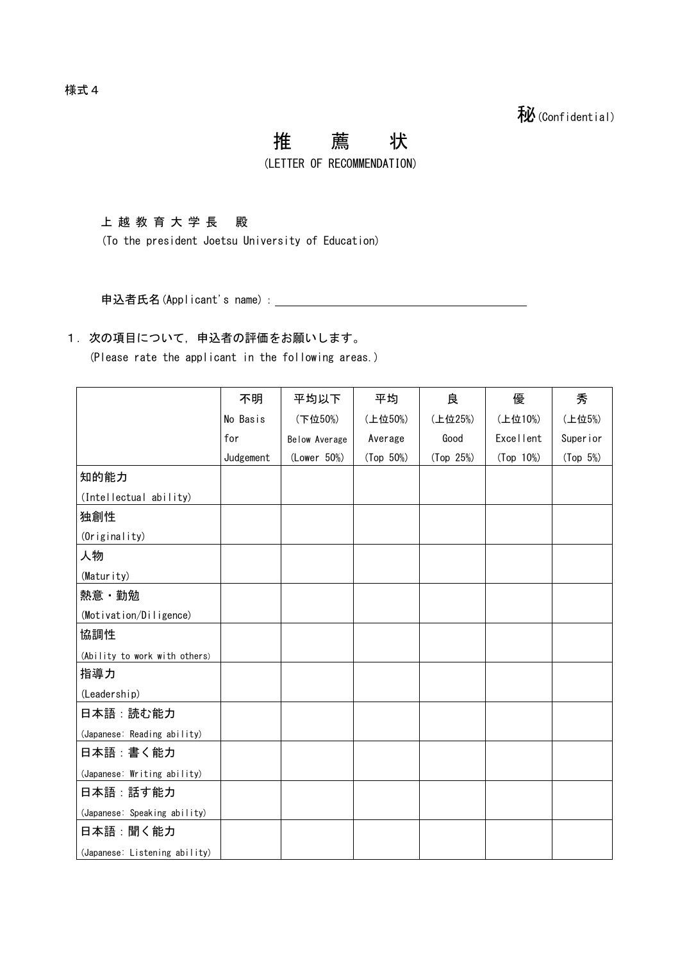## 推 薦 状

(LETTER OF RECOMMENDATION)

上越教育大学 長 殿

(To the president Joetsu University of Education)

申込者氏名(Applicant's name):

## 1. 次の項目について、申込者の評価をお願いします。

(Please rate the applicant in the following areas.)

|                               | 不明        | 平均以下          | 平均        | 良         | 優         | 秀          |
|-------------------------------|-----------|---------------|-----------|-----------|-----------|------------|
|                               | No Basis  | (下位50%)       | (上位50%)   | (上位25%)   | (上位10%)   | (上位5%)     |
|                               | for       | Below Average | Average   | Good      | Excellent | Super i or |
|                               | Judgement | (Lower 50%)   | (Top 50%) | (Top 25%) | (Top 10%) | (Top 5%)   |
| 知的能力                          |           |               |           |           |           |            |
| (Intellectual ability)        |           |               |           |           |           |            |
| 独創性                           |           |               |           |           |           |            |
| (Originality)                 |           |               |           |           |           |            |
| 人物                            |           |               |           |           |           |            |
| (Maturity)                    |           |               |           |           |           |            |
| 熱意・勤勉                         |           |               |           |           |           |            |
| (Motivation/Diligence)        |           |               |           |           |           |            |
| 協調性                           |           |               |           |           |           |            |
| (Ability to work with others) |           |               |           |           |           |            |
| 指導力                           |           |               |           |           |           |            |
| (Leadership)                  |           |               |           |           |           |            |
| 日本語:読む能力                      |           |               |           |           |           |            |
| (Japanese: Reading ability)   |           |               |           |           |           |            |
| 日本語:書く能力                      |           |               |           |           |           |            |
| (Japanese: Writing ability)   |           |               |           |           |           |            |
| 日本語 : 話す能力                    |           |               |           |           |           |            |
| (Japanese: Speaking ability)  |           |               |           |           |           |            |
| 日本語 : 聞く能力                    |           |               |           |           |           |            |
| (Japanese: Listening ability) |           |               |           |           |           |            |